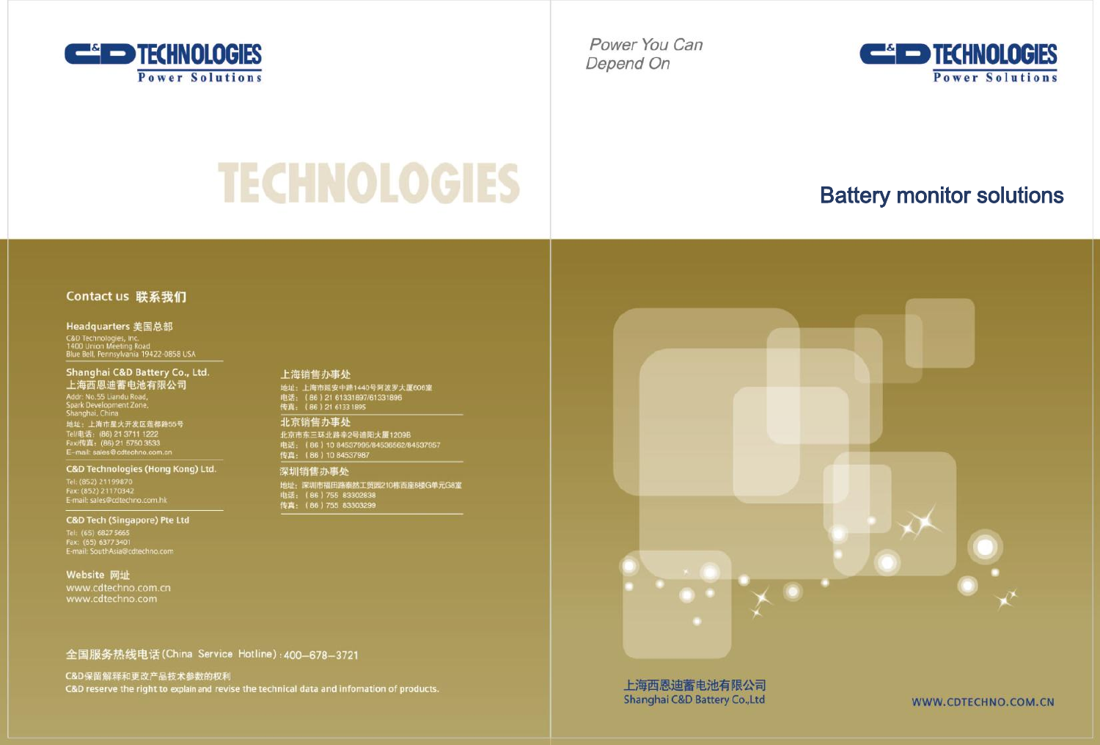

Power You Can Depend On



# **TECHNOLOGIES**

## **Battery monitor solutions**

#### Contact us 联系我们

#### Headquarters 美国总部

C&D Technologies, Inc.<br>1400 Union Meeting Road<br>Blue Bell, Pennsylvania 19422-0858 USA

#### Shanghai C&D Battery Co., Ltd. 上海西恩迪蓄电池有限公司

Addr. No.55 Liandu Road,<br>Spark Development Zone,<br>Shanghai, China

地址: 上海市星火开发区莲都路55号 Tel/电话: (86) 21 3711 1222<br>Fax/传真: (86) 21 5750 3533<br>E-mail: sales@cdtechno.com.

#### **C&D Technologies (Hong Kong) Ltd.**

E-mail: sales@cdtechno.com.hk

#### **C&D Tech (Singapore) Pte Ltd**

Tel: (65) 6827 5665<br>Fax: (65) 6377 3401<br>E-mail: SouthAsia@cdtechno.com

#### Website 网址

#### 全国服务热线电话(China Service Hotline): 400-678-3721

C&D保留解释和更改产品技术参数的权利 C&D reserve the right to explain and revise the technical data and information of products.

#### 上海销售办事处

- 地址:上海市延安中路1440号阿波罗大厦606室<br>地址:上海市延安中路1440号阿波罗大厦606室<br>传真:(86)21 61331895

#### 北京销售办事处

北京市东三环北路辛2号迪阳大厦1209B 电话: (86) 10 84537995/84536562/84537957

#### 深圳销售办事处

地址: 深圳市福田路泰然工贸园210栋西座8楼G单元G8室 电话: (86) 755 83302838<br>传真: (86) 755 83303299



上海西恩迪蓄电池有限公司 Shanghai C&D Battery Co.,Ltd

WWW.CDTECHNO.COM.CN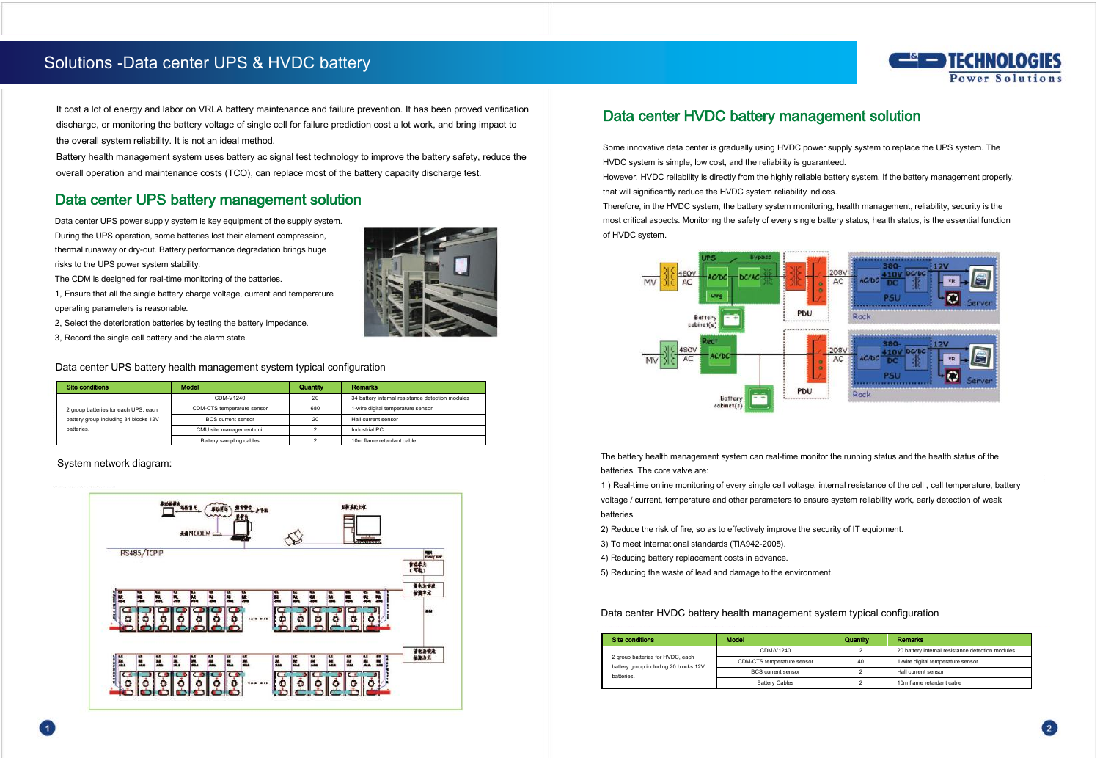## Solutions -Data center UPS & HVDC battery



It cost a lot of energy and labor on VRLA battery maintenance and failure prevention. It has been proved verification discharge, or monitoring the battery voltage of single cell for failure prediction cost a lot work, and bring impact to the overall system reliability. It is not an ideal method.

Battery health management system uses battery ac signal test technology to improve the battery safety, reduce the overall operation and maintenance costs (TCO), can replace most of the battery capacity discharge test.

## Data center UPS battery management solution

Data center UPS power supply system is key equipment of the supply system. During the UPS operation, some batteries lost their element compression, thermal runaway or dry-out. Battery performance degradation brings huge risks to the UPS power system stability.

The CDM is designed for real-time monitoring of the batteries.

1, Ensure that all the single battery charge voltage, current and temperature operating parameters is reasonable.

2, Select the deterioration batteries by testing the battery impedance.

3, Record the single cell battery and the alarm state.



Data center UPS battery health management system typical configuration

| <b>Site conditions</b>                | <b>Model</b>                              | Quantity                  | <b>Remarks</b>                                   |
|---------------------------------------|-------------------------------------------|---------------------------|--------------------------------------------------|
|                                       | CDM-V1240                                 | 20                        | 34 battery internal resistance detection modules |
| 2 group batteries for each UPS, each  | CDM-CTS temperature sensor                | 680                       | 1-wire digital temperature sensor                |
| battery group including 34 blocks 12V | <b>RCS</b> current sensor                 | 20<br>Hall current sensor |                                                  |
| hatteries.                            | Industrial PC<br>CMU site management unit |                           |                                                  |
|                                       | Battery sampling cables                   |                           | 10m flame retardant cable                        |

System network diagram:



## Data center HVDC battery management solution

Some innovative data center is gradually using HVDC power supply system to replace the UPS system. The HVDC system is simple, low cost, and the reliability is guaranteed.

However, HVDC reliability is directly from the highly reliable battery system. If the battery management properly, that will significantly reduce the HVDC system reliability indices.

Therefore, in the HVDC system, the battery system monitoring, health management, reliability, security is the most critical aspects. Monitoring the safety of every single battery status, health status, is the essential function of HVDC system.



The battery health management system can real-time monitor the running status and the health status of the batteries. The core valve are:

1 ) Real-time online monitoring of every single cell voltage, internal resistance of the cell , cell temperature, battery voltage / current, temperature and other parameters to ensure system reliability work, early detection of weak batteries. The contract of the contract of the contract of the contract of the contract of the contract of the contract of the contract of the contract of the contract of the contract of the contract of the contract of the

2) Reduce the risk of fire, so as to effectively improve the security of IT equipment.

3) To meet international standards (TIA942-2005).

4) Reducing battery replacement costs in advance.

5) Reducing the waste of lead and damage to the environment.

Data center HVDC battery health management system typical configuration

| <b>Site conditions</b>                                                                 | Model                      | Quantily | Remarks                                          |
|----------------------------------------------------------------------------------------|----------------------------|----------|--------------------------------------------------|
| 2 group batteries for HVDC, each<br>battery group including 20 blocks 12V<br>hatteries | CDM-V1240                  |          | 20 battery internal resistance detection modules |
|                                                                                        | CDM-CTS temperature sensor | 40       | 1-wire digital temperature sensor                |
|                                                                                        | <b>RCS</b> current sensor  |          | Hall current sensor                              |
|                                                                                        | <b>Battery Cables</b>      |          | 10m flame retardant cable                        |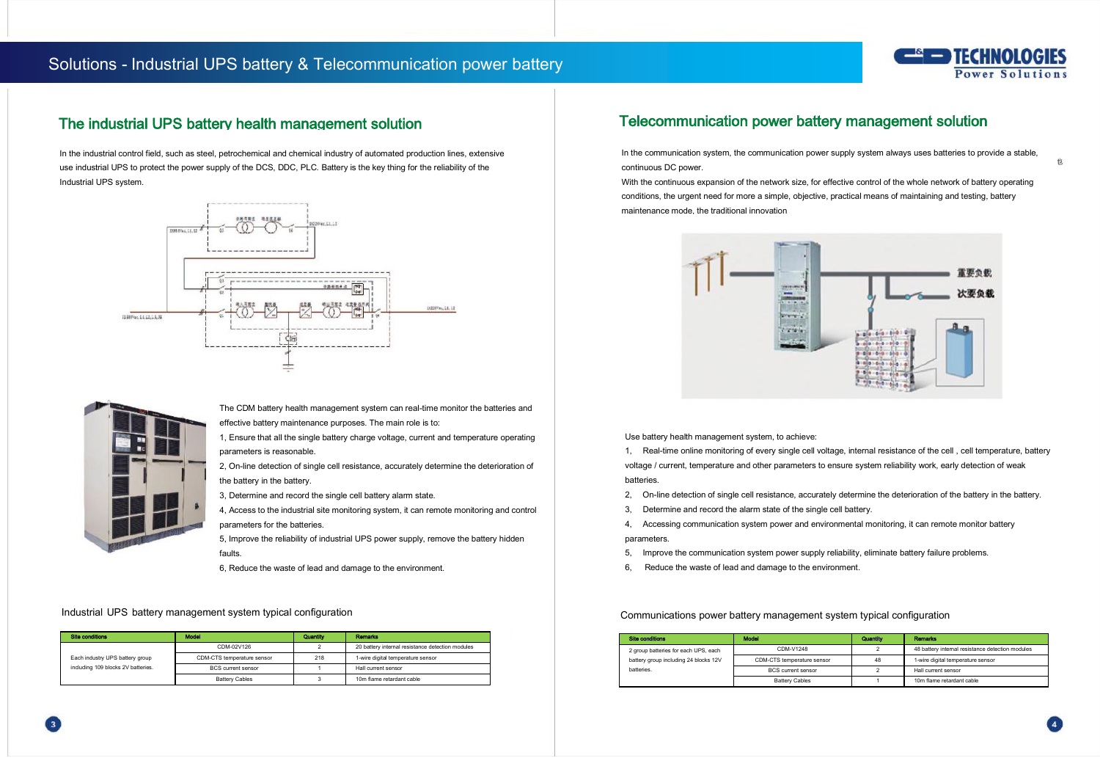## Solutions - Industrial UPS battery & Telecommunication power battery



#### The industrial UPS battery health management solution

In the industrial control field, such as steel, petrochemical and chemical industry of automated production lines, extensive use industrial UPS to protect the power supply of the DCS, DDC, PLC. Battery is the key thing for the reliability of the Industrial UPS system.





The CDM battery health management system can real-time monitor the batteries and effective battery maintenance purposes. The main role is to:

1, Ensure that all the single battery charge voltage, current and temperature operating parameters is reasonable.

2, On-line detection of single cell resistance, accurately determine the deterioration of the battery in the battery.

3, Determine and record the single cell battery alarm state.

4, Access to the industrial site monitoring system, it can remote monitoring and control parameters for the batteries.

5, Improve the reliability of industrial UPS power supply, remove the battery hidden faults.

6, Reduce the waste of lead and damage to the environment.

#### Industrial UPS battery management system typical configuration

| Site conditions                                                       | Model                      | Quantity | <b>Remodes</b>                                   |
|-----------------------------------------------------------------------|----------------------------|----------|--------------------------------------------------|
| Each industry UPS battery group<br>including 109 blocks 2V batteries. | CDM-02V126                 |          | 20 battery internal resistance detection modules |
|                                                                       | CDM-CTS temperature sensor | 218      | 1-wire digital temperature sensor                |
|                                                                       | <b>RCS current sensor</b>  |          | Hall current sensor                              |
|                                                                       | <b>Battery Cables</b>      |          | 10m flame retardant cable                        |

## Telecommunication power battery management solution

In the communication system, the communication power supply system always uses batteries to provide a stable, continuous DC power.

With the continuous expansion of the network size, for effective control of the whole network of battery operating conditions, the urgent need for more a simple, objective, practical means of maintaining and testing, battery maintenance mode, the traditional innovation



Use battery health management system, to achieve:

1, Real-time online monitoring of every single cell voltage, internal resistance of the cell , cell temperature, battery voltage / current, temperature and other parameters to ensure system reliability work, early detection of weak batteries.

- 2, On-line detection of single cell resistance, accurately determine the deterioration of the battery in the battery.
- 3, Determine and record the alarm state of the single cell battery.

4, Accessing communication system power and environmental monitoring, it can remote monitor battery parameters.

- 5, Improve the communication system power supply reliability, eliminate battery failure problems.
- 6, Reduce the waste of lead and damage to the environment.

Communications power battery management system typical configuration

| <b>Site conditions</b>                | Model                      | Quantity | Remodes                                          |  |
|---------------------------------------|----------------------------|----------|--------------------------------------------------|--|
| 2 group batteries for each UPS, each  | CDM-V1248                  |          | 48 battery internal resistance detection modules |  |
| battery group including 24 blocks 12V | CDM-CTS temperature sensor | 4R       | 1-wire digital temperature sensor                |  |
| hatteries                             | <b>RCS current sensor</b>  |          | Hall current sensor                              |  |
|                                       | Battery Cables             |          | 10m flame retardant cable                        |  |